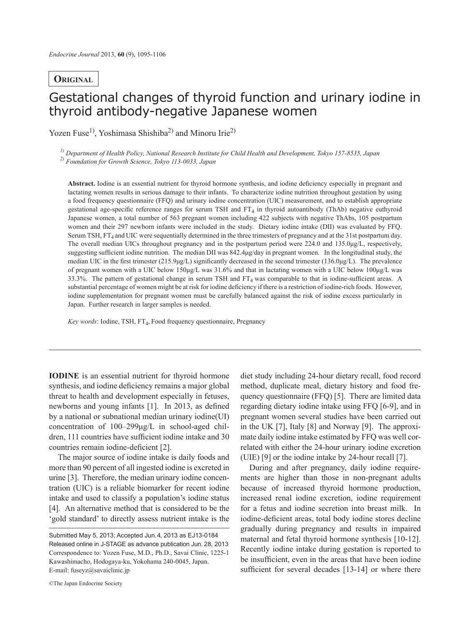# **Original**

# Gestational changes of thyroid function and urinary iodine in thyroid antibody-negative Japanese women

Yozen Fuse<sup>1)</sup>, Yoshimasa Shishiba<sup>2)</sup> and Minoru Irie<sup>2)</sup>

*1) Department of Health Policy, National Research Institute for Child Health and Development, Tokyo 157-8535, Japan 2) Foundation for Growth Science, Tokyo 113-0033, Japan* 

**Abstract.** Iodine is an essential nutrient for thyroid hormone synthesis, and iodine deficiency especially in pregnant and lactating women results in serious damage to their infants. To characterize iodine nutrition throughout gestation by using a food frequency questionnaire (FFQ) and urinary iodine concentration (UIC) measurement, and to establish appropriate gestational age-specific reference ranges for serum TSH and  $FT<sub>4</sub>$  in thyroid autoantibody (ThAb) negative euthyroid Japanese women, a total number of 563 pregnant women including 422 subjects with negative ThAbs, 105 postpartum women and their 297 newborn infants were included in the study. Dietary iodine intake (DII) was evaluated by FFQ. Serum TSH, FT<sub>4</sub> and UIC were sequentially determined in the three trimesters of pregnancy and at the 31st postpartum day. The overall median UICs throughout pregnancy and in the postpartum period were 224.0 and 135.0μg/L, respectively, suggesting sufficient iodine nutrition. The median DII was 842.4μg/day in pregnant women. In the longitudinal study, the median UIC in the first trimester (215.9μg/L) significantly decreased in the second trimester (136.0μg/L). The prevalence of pregnant women with a UIC below 150μg/L was 31.6% and that in lactating women with a UIC below 100μg/L was 33.3%. The pattern of gestational change in serum TSH and  $FT<sub>4</sub>$  was comparable to that in iodine-sufficient areas. A substantial percentage of women might be at risk for iodine deficiency if there is a restriction of iodine-rich foods. However, iodine supplementation for pregnant women must be carefully balanced against the risk of iodine excess particularly in Japan. Further research in larger samples is needed.

*Key words*: Iodine, TSH, FT4, Food frequency questionnaire, Pregnancy

**IODINE** is an essential nutrient for thyroid hormone synthesis, and iodine deficiency remains a major global threat to health and development especially in fetuses, newborns and young infants [1]. In 2013, as defined by a national or subnational median urinary iodine(UI) concentration of 100–299μg/L in school-aged children, 111 countries have sufficient iodine intake and 30 countries remain iodine-deficient [2].

The major source of iodine intake is daily foods and more than 90 percent of all ingested iodine is excreted in urine [3]. Therefore, the median urinary iodine concentration (UIC) is a reliable biomarker for recent iodine intake and used to classify a population's iodine status [4]. An alternative method that is considered to be the 'gold standard' to directly assess nutrient intake is the

©The Japan Endocrine Society

diet study including 24-hour dietary recall, food record method, duplicate meal, dietary history and food frequency questionnaire (FFQ) [5]. There are limited data regarding dietary iodine intake using FFQ [6-9], and in pregnant women several studies have been carried out in the UK [7], Italy [8] and Norway [9]. The approximate daily iodine intake estimated by FFQ was well correlated with either the 24-hour urinary iodine excretion (UIE) [9] or the iodine intake by 24-hour recall [7].

During and after pregnancy, daily iodine requirements are higher than those in non-pregnant adults because of increased thyroid hormone production, increased renal iodine excretion, iodine requirement for a fetus and iodine secretion into breast milk. In iodine-deficient areas, total body iodine stores decline gradually during pregnancy and results in impaired maternal and fetal thyroid hormone synthesis [10-12]. Recently iodine intake during gestation is reported to be insufficient, even in the areas that have been iodine sufficient for several decades [13-14] or where there

Submitted May 5, 2013; Accepted Jun. 4, 2013 as EJ13-0184 Released online in J-STAGE as advance publication Jun. 28, 2013 Correspondence to: Yozen Fuse, M.D., Ph.D., Savai Clinic, 1225-1 Kawashimacho, Hodogaya-ku, Yokohama 240-0045, Japan. E-mail: fuseyz@savaiclinic.jp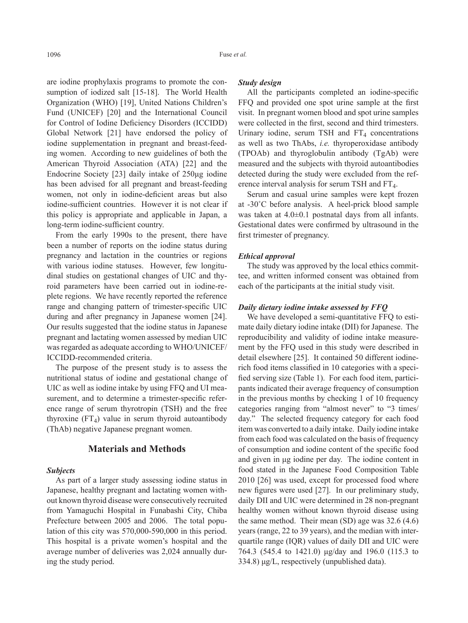are iodine prophylaxis programs to promote the consumption of iodized salt [15-18]. The World Health Organization (WHO) [19], United Nations Children's Fund (UNICEF) [20] and the International Council for Control of Iodine Deficiency Disorders (ICCIDD) Global Network [21] have endorsed the policy of iodine supplementation in pregnant and breast-feeding women. According to new guidelines of both the American Thyroid Association (ATA) [22] and the Endocrine Society [23] daily intake of 250μg iodine has been advised for all pregnant and breast-feeding women, not only in iodine-deficient areas but also iodine-sufficient countries. However it is not clear if this policy is appropriate and applicable in Japan, a long-term iodine-sufficient country.

From the early 1990s to the present, there have been a number of reports on the iodine status during pregnancy and lactation in the countries or regions with various iodine statuses. However, few longitudinal studies on gestational changes of UIC and thyroid parameters have been carried out in iodine-replete regions. We have recently reported the reference range and changing pattern of trimester-specific UIC during and after pregnancy in Japanese women [24]. Our results suggested that the iodine status in Japanese pregnant and lactating women assessed by median UIC was regarded as adequate according to WHO/UNICEF/ ICCIDD-recommended criteria.

The purpose of the present study is to assess the nutritional status of iodine and gestational change of UIC as well as iodine intake by using FFQ and UI measurement, and to determine a trimester-specific reference range of serum thyrotropin (TSH) and the free thyroxine  $(FT<sub>4</sub>)$  value in serum thyroid autoantibody (ThAb) negative Japanese pregnant women.

### **Materials and Methods**

### *Subjects*

As part of a larger study assessing iodine status in Japanese, healthy pregnant and lactating women without known thyroid disease were consecutively recruited from Yamaguchi Hospital in Funabashi City, Chiba Prefecture between 2005 and 2006. The total population of this city was 570,000-590,000 in this period. This hospital is a private women's hospital and the average number of deliveries was 2,024 annually during the study period.

### *Study design*

All the participants completed an iodine-specific FFQ and provided one spot urine sample at the first visit. In pregnant women blood and spot urine samples were collected in the first, second and third trimesters. Urinary iodine, serum TSH and  $FT<sub>4</sub>$  concentrations as well as two ThAbs, *i.e.* thyroperoxidase antibody (TPOAb) and thyroglobulin antibody (TgAb) were measured and the subjects with thyroid autoantibodies detected during the study were excluded from the reference interval analysis for serum TSH and  $FT<sub>4</sub>$ .

Serum and casual urine samples were kept frozen at -30˚C before analysis. A heel-prick blood sample was taken at 4.0±0.1 postnatal days from all infants. Gestational dates were confirmed by ultrasound in the first trimester of pregnancy.

### *Ethical approval*

The study was approved by the local ethics committee, and written informed consent was obtained from each of the participants at the initial study visit.

### *Daily dietary iodine intake assessed by FFQ*

We have developed a semi-quantitative FFQ to estimate daily dietary iodine intake (DII) for Japanese. The reproducibility and validity of iodine intake measurement by the FFQ used in this study were described in detail elsewhere [25]. It contained 50 different iodinerich food items classified in 10 categories with a specified serving size (Table 1). For each food item, participants indicated their average frequency of consumption in the previous months by checking 1 of 10 frequency categories ranging from "almost never" to "3 times/ day." The selected frequency category for each food item was converted to a daily intake. Daily iodine intake from each food was calculated on the basis of frequency of consumption and iodine content of the specific food and given in μg iodine per day. The iodine content in food stated in the Japanese Food Composition Table 2010 [26] was used, except for processed food where new figures were used [27]. In our preliminary study, daily DII and UIC were determined in 28 non-pregnant healthy women without known thyroid disease using the same method. Their mean (SD) age was 32.6 (4.6) years (range, 22 to 39 years), and the median with interquartile range (IQR) values of daily DII and UIC were 764.3 (545.4 to 1421.0) μg/day and 196.0 (115.3 to 334.8) μg/L, respectively (unpublished data).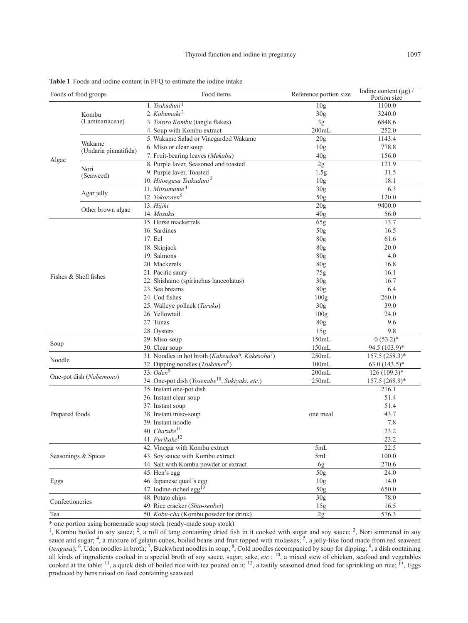| Foods of food groups    |                                 | Food items                                                                | Reference portion size             | Iodine content $(\mu g)$ /<br>Portion size |
|-------------------------|---------------------------------|---------------------------------------------------------------------------|------------------------------------|--------------------------------------------|
|                         |                                 | 1. Tsukudani <sup>1</sup>                                                 | 10 <sub>g</sub>                    | 1100.0                                     |
| Algae                   | Kombu                           | 2. Kobumaki <sup>2</sup>                                                  | 30 <sub>g</sub>                    | 3240.0                                     |
|                         | (Laminariaceae)                 | 3. Tororo Kombu (tangle flakes)                                           | 3g                                 | 6848.6                                     |
|                         |                                 | 4. Soup with Kombu extract                                                | 200mL                              | 252.0                                      |
|                         |                                 | 5. Wakame Salad or Vinegarded Wakame                                      | 20g                                | 1143.4                                     |
|                         | Wakame<br>(Undaria pinnatifida) | 6. Miso or clear soup                                                     | 10 <sub>g</sub>                    | 778.8                                      |
|                         |                                 | 7. Fruit-bearing leaves (Mekabu)                                          | 40g                                | 156.0                                      |
|                         |                                 | 8. Purple laver, Seasoned and toasted                                     | 2g                                 | 121.9                                      |
|                         | Nori<br>(Seaweed)               | 9. Purple laver, Toasted                                                  | 1.5g                               | 31.5                                       |
|                         |                                 | 10. Hitoegusa Tsukudani <sup>3</sup>                                      | 10g                                | 18.1                                       |
|                         | Agar jelly                      | $11.$ Mitsumame <sup>4</sup>                                              | 30g                                | 6.3                                        |
|                         |                                 | 12. Tokoroten <sup>5</sup>                                                | 50 <sub>g</sub>                    | 120.0                                      |
|                         | Other brown algae               | 13. Hijiki                                                                | 20g                                | 9400.0                                     |
|                         |                                 | 14. Mozuku                                                                | 40g                                | 56.0                                       |
|                         |                                 | 15. Horse mackerrels                                                      | 65g                                | 13.7                                       |
|                         |                                 | 16. Sardines                                                              | 50 <sub>g</sub>                    | 16.5                                       |
|                         |                                 | 17. Eel                                                                   | 80g                                | 61.6                                       |
|                         |                                 | 18. Skipjack                                                              | 80 <sub>g</sub>                    | 20.0                                       |
|                         |                                 | 19. Salmons                                                               | 80 <sub>g</sub>                    | 4.0                                        |
|                         |                                 | 20. Mackerels                                                             | 80 <sub>g</sub>                    | 16.8                                       |
|                         |                                 | 21. Pacific saury                                                         | 75g                                | 16.1                                       |
|                         | Fishes & Shell fishes           | 22. Shishamo (spirinchus lanceolatus)                                     | 30g                                | 16.7                                       |
|                         |                                 | 23. Sea breams                                                            | 80 <sub>g</sub>                    | 6.4                                        |
|                         |                                 | 24. Cod fishes                                                            | 100 <sub>g</sub>                   | 260.0                                      |
|                         |                                 | 25. Walleye pollack (Tarako)                                              | 30g                                | 39.0                                       |
|                         |                                 | 26. Yellowtail                                                            | 100g                               | 24.0                                       |
|                         |                                 | 27. Tunas                                                                 | 80 <sub>g</sub>                    | 9.6                                        |
|                         |                                 | 28. Oysters                                                               | 15g                                | 9.8                                        |
|                         |                                 | 29. Miso-soup                                                             | 150mL                              | $0(53.2)^*$                                |
| Soup                    |                                 | 30. Clear soup                                                            | 150mL                              | 94.5 (103.9)*                              |
|                         |                                 | 31. Noodles in hot broth (Kakeudon <sup>6</sup> , Kakesoba <sup>7</sup> ) | 250mL                              | $157.5(258.3)*$                            |
| Noodle                  |                                 | 32. Dipping noodles (Tsukemen <sup>8</sup> )                              | 100mL                              | $63.0(143.5)*$                             |
| One-pot dish (Nabemono) |                                 | 33. Oden <sup>9</sup>                                                     | 200mL                              | $126(109.3)*$                              |
|                         |                                 | 34. One-pot dish (Yosenabe <sup>10</sup> , Sukiyaki, etc.)                | 250mL                              | 157.5 (268.8)*                             |
| Prepared foods          |                                 | 35. Instant one-pot dish                                                  |                                    | 216.1                                      |
|                         |                                 | 36. Instant clear soup                                                    |                                    | 51.4                                       |
|                         |                                 | 37. Instant soup                                                          |                                    | 51.4                                       |
|                         |                                 | 38. Instant miso-soup                                                     | one meal                           | 43.7                                       |
|                         |                                 | 39. Instant noodle                                                        |                                    | 7.8                                        |
|                         |                                 | 40. Chazuke <sup>11</sup>                                                 |                                    | 23.2                                       |
|                         |                                 | 41. Furikake <sup>12</sup>                                                |                                    | 23.2                                       |
|                         |                                 | 42. Vinegar with Kombu extract                                            | 5mL                                | 22.5                                       |
| Seasonings & Spices     |                                 | 43. Soy sauce with Kombu extract                                          | 5mL                                | 100.0                                      |
|                         |                                 | 44. Salt with Kombu powder or extract                                     | 6g                                 | 270.6                                      |
| Eggs                    |                                 |                                                                           |                                    |                                            |
|                         |                                 | 45. Hen's egg<br>46. Japanese quail's egg                                 | 50 <sub>g</sub>                    | 24.0                                       |
|                         |                                 | 47. Iodine-riched egg <sup>13</sup>                                       | 10 <sub>g</sub><br>50 <sub>g</sub> | 14.0<br>650.0                              |
|                         |                                 | 48. Potato chips                                                          |                                    | 78.0                                       |
| Confectioneries         |                                 | 49. Rice cracker (Shio-senbei)                                            | 30 <sub>g</sub>                    | 16.5                                       |
|                         |                                 |                                                                           | 15g                                |                                            |

**Table 1** Foods and iodine content in FFQ to estimate the iodine intake

\* one portion using homemade soup stock (ready-made soup stock)<br><sup>1</sup>, Kombu boiled in soy sauce; <sup>2</sup>, a roll of tang containing dried fish in it cooked with sugar and soy sauce; <sup>3</sup>, Nori simmered in soy sauce and sugar; <sup>4</sup>, a mixture of gelatin cubes, boiled beans and fruit topped with molasses; <sup>5</sup>, a jelly-like food made from red seaweed (*tengusa*); <sup>6</sup>, Udon noodles in broth; <sup>7</sup>, Buckwheat noodles in soup; <sup>8</sup>, Cold noodles accompanied by soup for dipping; <sup>9</sup>, a dish containing all kinds of ingredients cooked in a special broth of soy sauce, sugar, sake, *etc*.; 10, a mixed stew of chicken, seafood and vegetables cooked at the table;  $^{11}$ , a quick dish of boiled rice with tea poured on it;  $^{12}$ , a tastily seasoned dried food for sprinkling on rice;  $^{13}$ , Eggs produced by hens raised on feed containing seaweed

Tea 50. *Kobu-cha* (Kombu powder for drink) 2g 576.3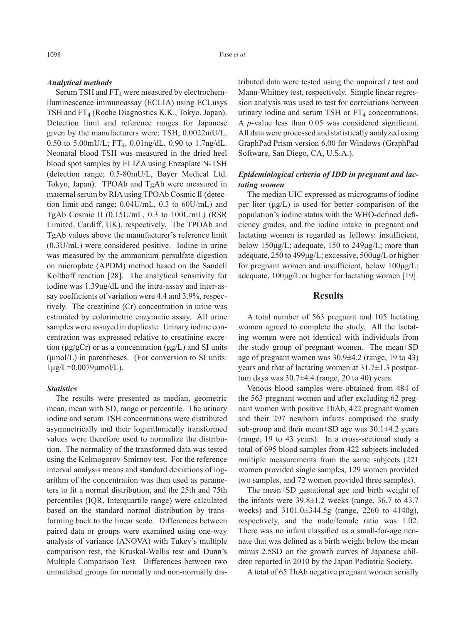### *Analytical methods*

Serum TSH and FT<sub>4</sub> were measured by electrochemiluminescence immunoassay (ECLIA) using ECLusys TSH and  $FT_4$  (Roche Diagnostics K.K., Tokyo, Japan). Detection limit and reference ranges for Japanese given by the manufacturers were: TSH, 0.0022mU/L, 0.50 to 5.00mU/L;  $FT_4$ , 0.01ng/dL, 0.90 to 1.7ng/dL. Neonatal blood TSH was measured in the dried heel blood spot samples by ELIZA using Enzaplate N-TSH (detection range; 0.5-80mU/L, Bayer Medical Ltd. Tokyo, Japan). TPOAb and TgAb were measured in maternal serum by RIA using TPOAb Cosmic II (detection limit and range; 0.04U/mL, 0.3 to 60U/mL) and TgAb Cosmic II (0.15U/mL, 0.3 to 100U/mL) (RSR Limited, Cardiff, UK), respectively. The TPOAb and TgAb values above the manufacturer's reference limit (0.3U/mL) were considered positive. Iodine in urine was measured by the ammonium persulfate digestion on microplate (APDM) method based on the Sandell Kolthoff reaction [28]. The analytical sensitivity for iodine was 1.39μg/dL and the intra-assay and inter-assay coefficients of variation were 4.4 and 3.9%, respectively. The creatinine (Cr) concentration in urine was estimated by colorimetric enzymatic assay. All urine samples were assayed in duplicate. Urinary iodine concentration was expressed relative to creatinine excretion ( $\mu$ g/gCr) or as a concentration ( $\mu$ g/L) and SI units (μmol/L) in parentheses. (For conversion to SI units:  $1\mu g/L = 0.0079 \mu mol/L$ ).

### *Statistics*

The results were presented as median, geometric mean, mean with SD, range or percentile. The urinary iodine and serum TSH concentrations were distributed asymmetrically and their logarithmically transformed values were therefore used to normalize the distribution. The normality of the transformed data was tested using the Kolmogorov-Smirnov test. For the reference interval analysis means and standard deviations of logarithm of the concentration was then used as parameters to fit a normal distribution, and the 25th and 75th percentiles (IQR, Interquartile range) were calculated based on the standard normal distribution by transforming back to the linear scale. Differences between paired data or groups were examined using one-way analysis of variance (ANOVA) with Tukey's multiple comparison test, the Kruskal-Wallis test and Dunn's Multiple Comparison Test. Differences between two unmatched groups for normally and non-normally distributed data were tested using the unpaired *t* test and Mann-Whitney test, respectively. Simple linear regression analysis was used to test for correlations between urinary iodine and serum TSH or  $FT<sub>4</sub>$  concentrations. A *p*-value less than 0.05 was considered significant. All data were processed and statistically analyzed using GraphPad Prism version 6.00 for Windows (GraphPad Software, San Diego, CA, U.S.A.).

## *Epidemiological criteria of IDD in pregnant and lactating women*

The median UIC expressed as micrograms of iodine per liter  $(\mu g/L)$  is used for better comparison of the population's iodine status with the WHO-defined deficiency grades, and the iodine intake in pregnant and lactating women is regarded as follows: insufficient, below 150μg/L; adequate, 150 to 249μg/L; more than adequate, 250 to 499μg/L; excessive, 500μg/L or higher for pregnant women and insufficient, below 100μg/L; adequate, 100μg/L or higher for lactating women [19].

### **Results**

A total number of 563 pregnant and 105 lactating women agreed to complete the study. All the lactating women were not identical with individuals from the study group of pregnant women. The mean±SD age of pregnant women was 30.9±4.2 (range, 19 to 43) years and that of lactating women at 31.7±1.3 postpartum days was  $30.7\pm4.4$  (range, 20 to 40) years.

Venous blood samples were obtained from 484 of the 563 pregnant women and after excluding 62 pregnant women with positive ThAb, 422 pregnant women and their 297 newborn infants comprised the study sub-group and their mean±SD age was 30.1±4.2 years (range, 19 to 43 years). In a cross-sectional study a total of 695 blood samples from 422 subjects included multiple measurements from the same subjects (221 women provided single samples, 129 women provided two samples, and 72 women provided three samples).

The mean±SD gestational age and birth weight of the infants were  $39.8\pm1.2$  weeks (range, 36.7 to 43.7) weeks) and 3101.0±344.5g (range, 2260 to 4140g), respectively, and the male/female ratio was 1.02. There was no infant classified as a small-for-age neonate that was defined as a birth weight below the mean minus 2.5SD on the growth curves of Japanese children reported in 2010 by the Japan Pediatric Society.

A total of 65 ThAb negative pregnant women serially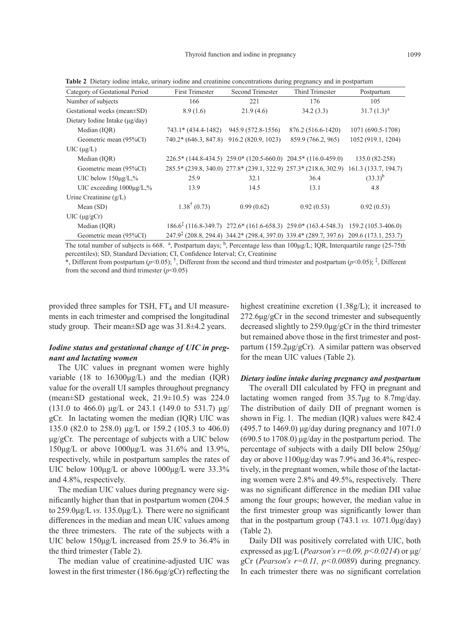| Category of Gestational Period | <b>First Trimester</b>  | Second Trimester                                               | <b>Third Trimester</b>                                                                                             | Postpartum         |
|--------------------------------|-------------------------|----------------------------------------------------------------|--------------------------------------------------------------------------------------------------------------------|--------------------|
| Number of subjects             | 166                     | 221                                                            | 176                                                                                                                | 105                |
| Gestational weeks (mean±SD)    | 8.9(1.6)                | 21.9(4.6)                                                      | 34.2(3.3)                                                                                                          | $31.7(1.3)^{a}$    |
| Dietary Iodine Intake (µg/day) |                         |                                                                |                                                                                                                    |                    |
| Median (IQR)                   | $743.1*$ (434.4-1482)   | 945.9 (572.8-1556)                                             | 876.2 (516.6-1420)                                                                                                 | 1071 (690.5-1708)  |
| Geometric mean (95%CI)         |                         | 740.2* (646.3, 847.8) 916.2 (820.9, 1023)                      | 859.9 (766.2, 965)                                                                                                 | 1052 (919.1, 1204) |
| $UIC$ ( $\mu$ g/L)             |                         |                                                                |                                                                                                                    |                    |
| Median (IQR)                   |                         | 226.5* (144.8-434.5) 259.0* (120.5-660.0) 204.5* (116.0-459.0) |                                                                                                                    | 135.0 (82-258)     |
| Geometric mean (95%CI)         |                         |                                                                | 285.5* (239.8, 340.0) 277.8* (239.1, 322.9) 257.3* (218.6, 302.9) 161.3 (133.7, 194.7)                             |                    |
| UIC below $150\mu g/L$ ,%      | 25.9                    | 32.1                                                           | 36.4                                                                                                               | $(33.3)^{b}$       |
| UIC exceeding $1000\mu g/L$ ,% | 13.9                    | 14.5                                                           | 13.1                                                                                                               | 4.8                |
| Urine Creatinine $(g/L)$       |                         |                                                                |                                                                                                                    |                    |
| Mean $(SD)$                    | $1.38^{\dagger}$ (0.73) | 0.99(0.62)                                                     | 0.92(0.53)                                                                                                         | 0.92(0.53)         |
| $UIC$ ( $\mu$ g/gCr)           |                         |                                                                |                                                                                                                    |                    |
| Median (IQR)                   |                         |                                                                | 186.6 <sup><math>\ddagger</math></sup> (116.8-349.7) 272.6* (161.6-658.3) 259.0* (163.4-548.3) 159.2 (105.3-406.0) |                    |
| Geometric mean (95%CI)         |                         |                                                                | 247.9 <sup>‡</sup> (208.8, 294.4) 344.2* (298.4, 397.0) 339.4* (289.7, 397.6) 209.6 (173.1, 253.7)                 |                    |

**Table 2** Dietary iodine intake, urinary iodine and creatinine concentrations during pregnancy and in postpartum

The total number of subjects is 668. <sup>a</sup>, Postpartum days; <sup>b</sup>, Percentage less than  $100\mu g/L$ ; IQR, Interquartile range (25-75th percentiles); SD, Standard Deviation; CI, Confidence Interval; Cr, Creatinine

\*, Different from postpartum ( $p$ <0.05);  $^{\dagger}$ , Different from the second and third trimester and postpartum ( $p$ <0.05);  $^{\dagger}$ , Different from the second and third trimester (*p*<0.05)

provided three samples for TSH,  $FT<sub>4</sub>$  and UI measurements in each trimester and comprised the longitudinal study group. Their mean±SD age was 31.8±4.2 years.

# *Iodine status and gestational change of UIC in pregnant and lactating women*

The UIC values in pregnant women were highly variable (18 to 16300μg/L) and the median (IQR) value for the overall UI samples throughout pregnancy (mean±SD gestational week, 21.9±10.5) was 224.0 (131.0 to 466.0)  $\mu$ g/L or 243.1 (149.0 to 531.7)  $\mu$ g/ gCr. In lactating women the median (IQR) UIC was 135.0 (82.0 to 258.0) μg/L or 159.2 (105.3 to 406.0) μg/gCr. The percentage of subjects with a UIC below 150μg/L or above 1000μg/L was 31.6% and 13.9%, respectively, while in postpartum samples the rates of UIC below 100μg/L or above 1000μg/L were 33.3% and 4.8%, respectively.

The median UIC values during pregnancy were significantly higher than that in postpartum women (204.5 to 259.0μg/L *vs.* 135.0μg/L). There were no significant differences in the median and mean UIC values among the three trimesters. The rate of the subjects with a UIC below 150μg/L increased from 25.9 to 36.4% in the third trimester (Table 2).

The median value of creatinine-adjusted UIC was lowest in the first trimester (186.6μg/gCr) reflecting the

highest creatinine excretion  $(1.38g/L)$ ; it increased to 272.6μg/gCr in the second trimester and subsequently decreased slightly to 259.0μg/gCr in the third trimester but remained above those in the first trimester and postpartum (159.2μg/gCr). A similar pattern was observed for the mean UIC values (Table 2).

### *Dietary iodine intake during pregnancy and postpartum*

The overall DII calculated by FFQ in pregnant and lactating women ranged from 35.7μg to 8.7mg/day. The distribution of daily DII of pregnant women is shown in Fig. 1. The median (IQR) values were 842.4 (495.7 to 1469.0) μg/day during pregnancy and 1071.0 (690.5 to 1708.0) μg/day in the postpartum period. The percentage of subjects with a daily DII below 250μg/ day or above 1100μg/day was 7.9% and 36.4%, respectively, in the pregnant women, while those of the lactating women were 2.8% and 49.5%, respectively. There was no significant difference in the median DII value among the four groups; however, the median value in the first trimester group was significantly lower than that in the postpartum group  $(743.1 \text{ vs. } 1071.0 \mu\text{g/day})$ (Table 2).

Daily DII was positively correlated with UIC, both expressed as  $\mu$ g/L (*Pearson's r*=0.09, *p*<0.0214) or  $\mu$ g/ gCr (*Pearson's r=0.11, p<0.0089*) during pregnancy. In each trimester there was no significant correlation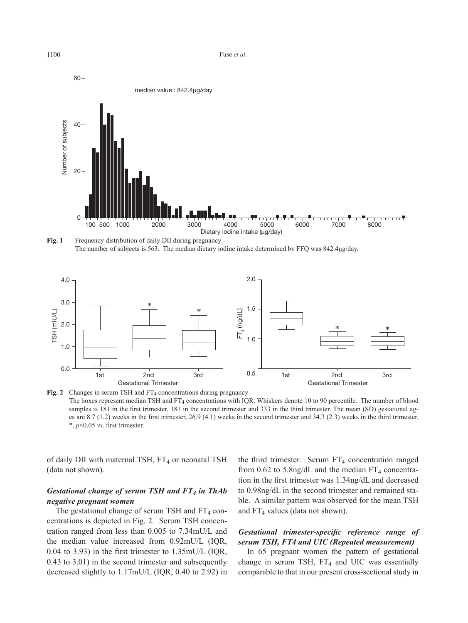#### 1100 Fuse *et al.*



Fig. 1 Frequency distribution of daily DII during pregnancy The number of subjects is 563. The median dietary iodine intake determined by FFQ was 842.4μg/day.



**Fig. 2** Changes in serum TSH and FT<sub>4</sub> concentrations during pregnancy The boxes represent median TSH and FT4 concentrations with IQR. Whiskers denote 10 to 90 percentile. The number of blood samples is 181 in the first trimester, 181 in the second trimester and 333 in the third trimester. The mean (SD) gestational ages are 8.7 (1.2) weeks in the first trimester, 26.9 (4.1) weeks in the second trimester and 34.3 (2.3) weeks in the third trimester. \*, *p*<0.05 *vs*. first trimester.

of daily DII with maternal TSH,  $FT<sub>4</sub>$  or neonatal TSH (data not shown).

# Gestational change of serum TSH and FT<sub>4</sub> in ThAb *negative pregnant women*

The gestational change of serum TSH and  $FT_4$  concentrations is depicted in Fig. 2. Serum TSH concentration ranged from less than 0.005 to 7.34mU/L and the median value increased from 0.92mU/L (IQR, 0.04 to 3.93) in the first trimester to 1.35mU/L (IQR, 0.43 to 3.01) in the second trimester and subsequently decreased slightly to 1.17mU/L (IQR, 0.40 to 2.92) in the third trimester. Serum  $FT_4$  concentration ranged from 0.62 to 5.8ng/dL and the median  $FT_4$  concentration in the first trimester was 1.34ng/dL and decreased to 0.98ng/dL in the second trimester and remained stable. A similar pattern was observed for the mean TSH and  $FT_4$  values (data not shown).

### *Gestational trimester-specific reference range of serum TSH, FT4 and UIC (Repeated measurement)*

In 65 pregnant women the pattern of gestational change in serum TSH,  $FT<sub>4</sub>$  and UIC was essentially comparable to that in our present cross-sectional study in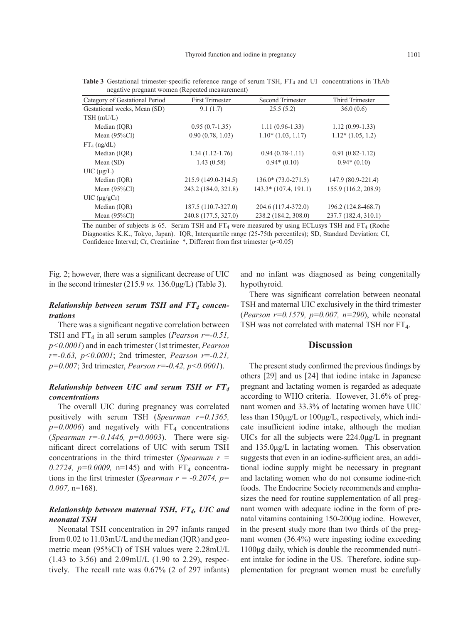| negative pregnant women (Repeated measurement) |                        |                        |                        |  |  |  |
|------------------------------------------------|------------------------|------------------------|------------------------|--|--|--|
| Category of Gestational Period                 | <b>First Trimester</b> | Second Trimester       | <b>Third Trimester</b> |  |  |  |
| Gestational weeks, Mean (SD)                   | 9.1(1.7)               | 25.5(5.2)              | 36.0(0.6)              |  |  |  |
| $TSH$ (mU/L)                                   |                        |                        |                        |  |  |  |
| Median (IQR)                                   | $0.95(0.7-1.35)$       | $1.11(0.96-1.33)$      | $1.12(0.99-1.33)$      |  |  |  |
| Mean $(95\%CI)$                                | 0.90(0.78, 1.03)       | $1.10*(1.03, 1.17)$    | $1.12*(1.05, 1.2)$     |  |  |  |
| $FT_4$ (ng/dL)                                 |                        |                        |                        |  |  |  |
| Median (IQR)                                   | $1.34(1.12-1.76)$      | $0.94(0.78-1.11)$      | $0.91(0.82 - 1.12)$    |  |  |  |
| Mean $(SD)$                                    | 1.43(0.58)             | $0.94*(0.10)$          | $0.94*(0.10)$          |  |  |  |
| $UIC$ ( $\mu$ g/L)                             |                        |                        |                        |  |  |  |
| Median (IQR)                                   | 215.9 (149.0-314.5)    | $136.0*(73.0-271.5)$   | 147.9 (80.9-221.4)     |  |  |  |
| Mean $(95\%CI)$                                | 243.2 (184.0, 321.8)   | $143.3*(107.4, 191.1)$ | 155.9 (116.2, 208.9)   |  |  |  |
| $UIC$ ( $\mu$ g/g $Cr$ )                       |                        |                        |                        |  |  |  |
| Median (IQR)                                   | 187.5 (110.7-327.0)    | 204.6 (117.4-372.0)    | 196.2 (124.8-468.7)    |  |  |  |
| Mean $(95\%CI)$                                | 240.8 (177.5, 327.0)   | 238.2 (184.2, 308.0)   | 237.7 (182.4, 310.1)   |  |  |  |

**Table 3** Gestational trimester-specific reference range of serum TSH, FT<sub>4</sub> and UI concentrations in ThAb negative pregnant women (Repeated measurement)

The number of subjects is 65. Serum TSH and  $FT_4$  were measured by using ECLusys TSH and  $FT_4$  (Roche Diagnostics K.K., Tokyo, Japan). IQR, Interquartile range (25-75th percentiles); SD, Standard Deviation; CI, Confidence Interval; Cr, Creatinine  $*$ , Different from first trimester  $(p<0.05)$ 

Fig. 2; however, there was a significant decrease of UIC in the second trimester (215.9 *vs.* 136.0μg/L) (Table 3).

### *Relationship between serum TSH and FT4 concentrations*

There was a significant negative correlation between TSH and FT<sub>4</sub> in all serum samples (*Pearson r*=-0.51, *p<0.0001*) and in each trimester (1st trimester, *Pearson r=-0.63, p<0.0001*; 2nd trimester, *Pearson r=-0.21, p=0.007*; 3rd trimester, *Pearson r=-0.42, p<0.0001*).

### *Relationship between UIC and serum TSH or FT4 concentrations*

The overall UIC during pregnancy was correlated positively with serum TSH (*Spearman r=0.1365,*   $p=0.0006$ ) and negatively with FT<sub>4</sub> concentrations (*Spearman r=-0.1446, p=0.0003*). There were significant direct correlations of UIC with serum TSH concentrations in the third trimester (*Spearman r =*  0.2724,  $p=0.0009$ , n=145) and with FT<sub>4</sub> concentrations in the first trimester (*Spearman r = -0.2074, p= 0.007,* n=168).

### *Relationship between maternal TSH, FT4, UIC and neonatal TSH*

Neonatal TSH concentration in 297 infants ranged from 0.02 to 11.03mU/L and the median (IQR) and geometric mean (95%CI) of TSH values were 2.28mU/L (1.43 to 3.56) and 2.09mU/L (1.90 to 2.29), respectively. The recall rate was 0.67% (2 of 297 infants)

and no infant was diagnosed as being congenitally hypothyroid.

There was significant correlation between neonatal TSH and maternal UIC exclusively in the third trimester (*Pearson r=0.1579, p=0.007, n=290*), while neonatal TSH was not correlated with maternal TSH nor  $FT_4$ .

# **Discussion**

The present study confirmed the previous findings by others [29] and us [24] that iodine intake in Japanese pregnant and lactating women is regarded as adequate according to WHO criteria. However, 31.6% of pregnant women and 33.3% of lactating women have UIC less than 150μg/L or 100μg/L, respectively, which indicate insufficient iodine intake, although the median UICs for all the subjects were 224.0μg/L in pregnant and 135.0μg/L in lactating women. This observation suggests that even in an iodine-sufficient area, an additional iodine supply might be necessary in pregnant and lactating women who do not consume iodine-rich foods. The Endocrine Society recommends and emphasizes the need for routine supplementation of all pregnant women with adequate iodine in the form of prenatal vitamins containing 150-200μg iodine. However, in the present study more than two thirds of the pregnant women (36.4%) were ingesting iodine exceeding 1100μg daily, which is double the recommended nutrient intake for iodine in the US. Therefore, iodine supplementation for pregnant women must be carefully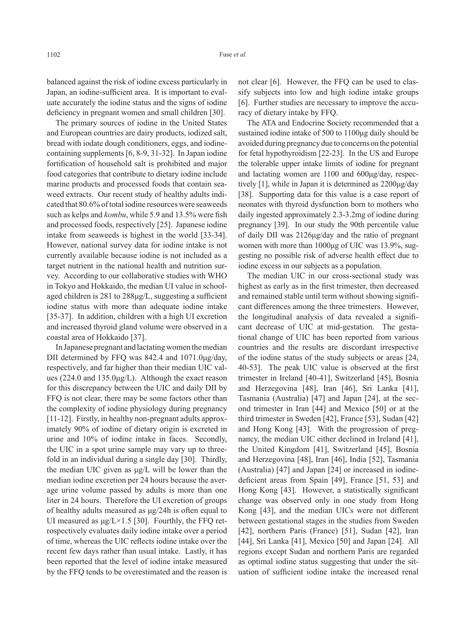balanced against the risk of iodine excess particularly in Japan, an iodine-sufficient area. It is important to evaluate accurately the iodine status and the signs of iodine deficiency in pregnant women and small children [30].

The primary sources of iodine in the United States and European countries are dairy products, iodized salt, bread with iodate dough conditioners, eggs, and iodinecontaining supplements [6, 8-9, 31-32]. In Japan iodine fortification of household salt is prohibited and major food categories that contribute to dietary iodine include marine products and processed foods that contain seaweed extracts. Our recent study of healthy adults indicated that 80.6% of total iodine resources were seaweeds such as kelps and *kombu*, while 5.9 and 13.5% were fish and processed foods, respectively [25]. Japanese iodine intake from seaweeds is highest in the world [33-34]. However, national survey data for iodine intake is not currently available because iodine is not included as a target nutrient in the national health and nutrition survey. According to our collaborative studies with WHO in Tokyo and Hokkaido, the median UI value in schoolaged children is 281 to 288μg/L, suggesting a sufficient iodine status with more than adequate iodine intake [35-37]. In addition, children with a high UI excretion and increased thyroid gland volume were observed in a coastal area of Hokkaido [37].

In Japanese pregnant and lactating women the median DII determined by FFQ was 842.4 and 1071.0μg/day, respectively, and far higher than their median UIC values (224.0 and 135.0μg/L). Although the exact reason for this discrepancy between the UIC and daily DII by FFQ is not clear, there may be some factors other than the complexity of iodine physiology during pregnancy [11-12]. Firstly, in healthy non-pregnant adults approximately 90% of iodine of dietary origin is excreted in urine and 10% of iodine intake in faces. Secondly, the UIC in a spot urine sample may vary up to threefold in an individual during a single day [30]. Thirdly, the median UIC given as μg/L will be lower than the median iodine excretion per 24 hours because the average urine volume passed by adults is more than one liter in 24 hours. Therefore the UI excretion of groups of healthy adults measured as μg/24h is often equal to UI measured as  $\mu$ g/L×1.5 [30]. Fourthly, the FFQ retrospectively evaluates daily iodine intake over a period of time, whereas the UIC reflects iodine intake over the recent few days rather than usual intake. Lastly, it has been reported that the level of iodine intake measured by the FFQ tends to be overestimated and the reason is not clear [6]. However, the FFQ can be used to classify subjects into low and high iodine intake groups [6]. Further studies are necessary to improve the accuracy of dietary intake by FFQ.

The ATA and Endocrine Society recommended that a sustained iodine intake of 500 to 1100μg daily should be avoided during pregnancy due to concerns on the potential for fetal hypothyroidism [22-23]. In the US and Europe the tolerable upper intake limits of iodine for pregnant and lactating women are 1100 and 600μg/day, respectively [1], while in Japan it is determined as 2200μg/day [38]. Supporting data for this value is a case report of neonates with thyroid dysfunction born to mothers who daily ingested approximately 2.3-3.2mg of iodine during pregnancy [39]. In our study the 90th percentile value of daily DII was 2126μg/day and the ratio of pregnant women with more than 1000μg of UIC was 13.9%, suggesting no possible risk of adverse health effect due to iodine excess in our subjects as a population.

The median UIC in our cross-sectional study was highest as early as in the first trimester, then decreased and remained stable until term without showing significant differences among the three trimesters. However, the longitudinal analysis of data revealed a significant decrease of UIC at mid-gestation. The gestational change of UIC has been reported from various countries and the results are discordant irrespective of the iodine status of the study subjects or areas [24, 40-53]. The peak UIC value is observed at the first trimester in Ireland [40-41], Switzerland [45], Bosnia and Herzegovina [48], Iran [46], Sri Lanka [41], Tasmania (Australia) [47] and Japan [24], at the second trimester in Iran [44] and Mexico [50] or at the third trimester in Sweden [42], France [53], Sudan [42] and Hong Kong [43]. With the progression of pregnancy, the median UIC either declined in Ireland [41], the United Kingdom [41], Switzerland [45], Bosnia and Herzegovina [48], Iran [46], India [52], Tasmania (Australia) [47] and Japan [24] or increased in iodinedeficient areas from Spain [49], France [51, 53] and Hong Kong [43]. However, a statistically significant change was observed only in one study from Hong Kong [43], and the median UICs were not different between gestational stages in the studies from Sweden [42], northern Paris (France) [51], Sudan [42], Iran [44], Sri Lanka [41], Mexico [50] and Japan [24]. All regions except Sudan and northern Paris are regarded as optimal iodine status suggesting that under the situation of sufficient iodine intake the increased renal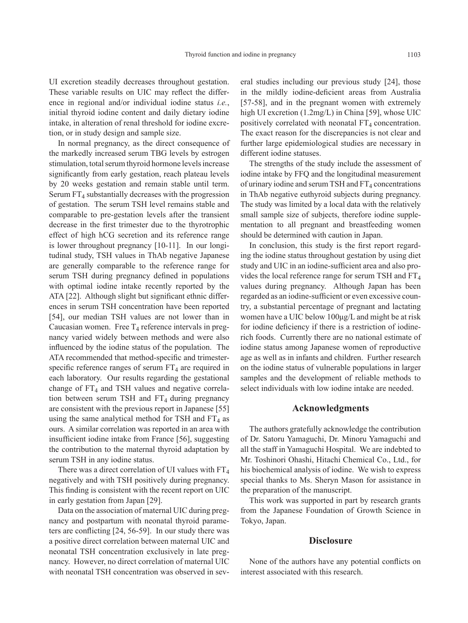UI excretion steadily decreases throughout gestation. These variable results on UIC may reflect the difference in regional and/or individual iodine status *i.e.*, initial thyroid iodine content and daily dietary iodine intake, in alteration of renal threshold for iodine excretion, or in study design and sample size.

In normal pregnancy, as the direct consequence of the markedly increased serum TBG levels by estrogen stimulation, total serum thyroid hormone levels increase significantly from early gestation, reach plateau levels by 20 weeks gestation and remain stable until term. Serum  $FT_4$  substantially decreases with the progression of gestation. The serum TSH level remains stable and comparable to pre-gestation levels after the transient decrease in the first trimester due to the thyrotrophic effect of high hCG secretion and its reference range is lower throughout pregnancy [10-11]. In our longitudinal study, TSH values in ThAb negative Japanese are generally comparable to the reference range for serum TSH during pregnancy defined in populations with optimal iodine intake recently reported by the ATA [22]. Although slight but significant ethnic differences in serum TSH concentration have been reported [54], our median TSH values are not lower than in Caucasian women. Free  $T_4$  reference intervals in pregnancy varied widely between methods and were also influenced by the iodine status of the population. The ATA recommended that method-specific and trimesterspecific reference ranges of serum  $FT<sub>4</sub>$  are required in each laboratory. Our results regarding the gestational change of  $FT_4$  and TSH values and negative correlation between serum TSH and  $FT_4$  during pregnancy are consistent with the previous report in Japanese [55] using the same analytical method for TSH and  $FT_4$  as ours. A similar correlation was reported in an area with insufficient iodine intake from France [56], suggesting the contribution to the maternal thyroid adaptation by serum TSH in any iodine status.

There was a direct correlation of UI values with  $FT_4$ negatively and with TSH positively during pregnancy. This finding is consistent with the recent report on UIC in early gestation from Japan [29].

Data on the association of maternal UIC during pregnancy and postpartum with neonatal thyroid parameters are conflicting [24, 56-59]. In our study there was a positive direct correlation between maternal UIC and neonatal TSH concentration exclusively in late pregnancy. However, no direct correlation of maternal UIC with neonatal TSH concentration was observed in several studies including our previous study [24], those in the mildly iodine-deficient areas from Australia [57-58], and in the pregnant women with extremely high UI excretion (1.2mg/L) in China [59], whose UIC positively correlated with neonatal  $FT<sub>4</sub>$  concentration. The exact reason for the discrepancies is not clear and further large epidemiological studies are necessary in different iodine statuses.

The strengths of the study include the assessment of iodine intake by FFQ and the longitudinal measurement of urinary iodine and serum TSH and  $FT_4$  concentrations in ThAb negative euthyroid subjects during pregnancy. The study was limited by a local data with the relatively small sample size of subjects, therefore iodine supplementation to all pregnant and breastfeeding women should be determined with caution in Japan.

In conclusion, this study is the first report regarding the iodine status throughout gestation by using diet study and UIC in an iodine-sufficient area and also provides the local reference range for serum TSH and  $FT_4$ values during pregnancy. Although Japan has been regarded as an iodine-sufficient or even excessive country, a substantial percentage of pregnant and lactating women have a UIC below 100μg/L and might be at risk for iodine deficiency if there is a restriction of iodinerich foods. Currently there are no national estimate of iodine status among Japanese women of reproductive age as well as in infants and children. Further research on the iodine status of vulnerable populations in larger samples and the development of reliable methods to select individuals with low iodine intake are needed.

### **Acknowledgments**

The authors gratefully acknowledge the contribution of Dr. Satoru Yamaguchi, Dr. Minoru Yamaguchi and all the staff in Yamaguchi Hospital. We are indebted to Mr. Toshinori Ohashi, Hitachi Chemical Co., Ltd., for his biochemical analysis of iodine. We wish to express special thanks to Ms. Sheryn Mason for assistance in the preparation of the manuscript.

This work was supported in part by research grants from the Japanese Foundation of Growth Science in Tokyo, Japan.

### **Disclosure**

None of the authors have any potential conflicts on interest associated with this research.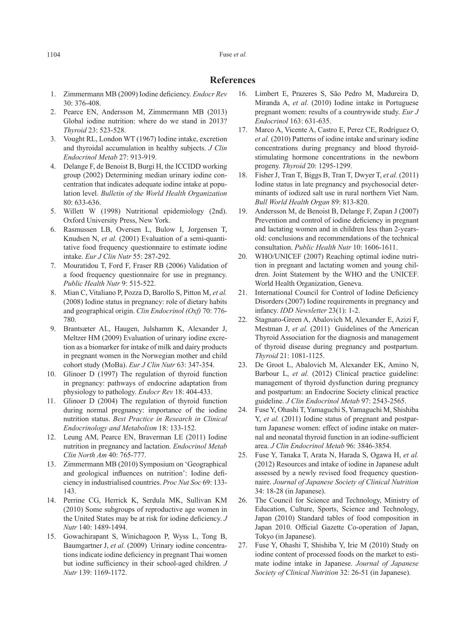## **References**

- 1. Zimmermann MB (2009) Iodine deficiency. *Endocr Rev* 30: 376-408.
- 2. Pearce EN, Andersson M, Zimmermann MB (2013) Global iodine nutrition: where do we stand in 2013? *Thyroid* 23: 523-528.
- 3. Vought RL, London WT (1967) Iodine intake, excretion and thyroidal accumulation in healthy subjects. *J Clin Endocrinol Metab* 27: 913-919.
- 4. Delange F, de Benoist B, Burgi H, the ICCIDD working group (2002) Determining median urinary iodine concentration that indicates adequate iodine intake at population level. *Bulletin of the World Health Organization* 80: 633-636.
- 5. Willett W (1998) Nutritional epidemiology (2nd). Oxford University Press, New York.
- 6. Rasmussen LB, Oversen L, Bulow I, Jorgensen T, Knudsen N, *et al.* (2001) Evaluation of a semi-quantitative food frequency questionnaire to estimate iodine intake. *Eur J Clin Nutr* 55: 287-292.
- 7. Mouratidou T, Ford F, Fraser RB (2006) Validation of a food frequency questionnaire for use in pregnancy. *Public Health Nutr* 9: 515-522.
- 8. Mian C, Vitaliano P, Pozza D, Barollo S, Pitton M, *et al.* (2008) Iodine status in pregnancy: role of dietary habits and geographical origin. *Clin Endocrinol (Oxf)* 70: 776- 780.
- 9. Brantsæter AL, Haugen, Julshamm K, Alexander J, Meltzer HM (2009) Evaluation of urinary iodine excretion as a biomarker for intake of milk and dairy products in pregnant women in the Norwegian mother and child cohort study (MoBa). *Eur J Clin Nutr* 63: 347-354.
- 10. Glinoer D (1997) The regulation of thyroid function in pregnancy: pathways of endocrine adaptation from physiology to pathology. *Endocr Rev* 18: 404-433.
- 11. Glinoer D (2004) The regulation of thyroid function during normal pregnancy: importance of the iodine nutrition status. *Best Practice in Research in Clinical Endocrinology and Metabolism* 18: 133-152.
- 12. Leung AM, Pearce EN, Braverman LE (2011) Iodine nutrition in pregnancy and lactation. *Endocrinol Metab Clin North Am* 40: 765-777.
- 13. Zimmermann MB (2010) Symposium on 'Geographical and geological influences on nutrition': Iodine deficiency in industrialised countries. *Proc Nut Soc* 69: 133- 143.
- 14. Perrine CG, Herrick K, Serdula MK, Sullivan KM (2010) Some subgroups of reproductive age women in the United States may be at risk for iodine deficiency. *J Nutr* 140: 1489-1494.
- 15. Gowachirapant S, Winichagoon P, Wyss L, Tong B, Baumgartner J, et al. (2009) Urinary iodine concentrations indicate iodine deficiency in pregnant Thai women but iodine sufficiency in their school-aged children. *J Nutr* 139: 1169-1172.
- 16. Limbert E, Prazeres S, São Pedro M, Madureira D, Miranda A, *et al.* (2010) Iodine intake in Portuguese pregnant women: results of a countrywide study. *Eur J Endocrinol* 163: 631-635.
- 17. Marco A, Vicente A, Castro E, Perez CE, Rodríguez O, *et al.* (2010) Patterns of iodine intake and urinary iodine concentrations during pregnancy and blood thyroidstimulating hormone concentrations in the newborn progeny. *Thyroid* 20: 1295-1299.
- 18. Fisher J, Tran T, Biggs B, Tran T, Dwyer T, *et al.* (2011) Iodine status in late pregnancy and psychosocial determinants of iodized salt use in rural northern Viet Nam. *Bull World Health Organ* 89: 813-820.
- 19. Andersson M, de Benoist B, Delange F, Zupan J (2007) Prevention and control of iodine deficiency in pregnant and lactating women and in children less than 2-yearsold: conclusions and recommendations of the technical consultation. *Public Health Nutr* 10: 1606-1611.
- 20. WHO/UNICEF (2007) Reaching optimal iodine nutrition in pregnant and lactating women and young children. Joint Statement by the WHO and the UNICEF. World Health Organization, Geneva.
- 21. International Council for Control of Iodine Deficiency Disorders (2007) Iodine requirements in pregnancy and infancy. *IDD Newsletter* 23(1): 1-2.
- 22. Stagnaro-Green A, Abalovich M, Alexander E, Azizi F, Mestman J, *et al.* (2011) Guidelines of the American Thyroid Association for the diagnosis and management of thyroid disease during pregnancy and postpartum. *Thyroid* 21: 1081-1125.
- 23. De Groot L, Abalovich M, Alexander EK, Amino N, Barbour L, *et al.* (2012) Clinical practice guideline: management of thyroid dysfunction during pregnancy and postpartum: an Endocrine Society clinical practice guideline. *J Clin Endocrinol Metab* 97: 2543-2565.
- 24. Fuse Y, Ohashi T, Yamaguchi S, Yamaguchi M, Shishiba Y, *et al.* (2011) Iodine status of pregnant and postpartum Japanese women: effect of iodine intake on maternal and neonatal thyroid function in an iodine-sufficient area. *J Clin Endocrinol Metab* 96: 3846-3854.
- 25. Fuse Y, Tanaka T, Arata N, Harada S, Ogawa H, *et al.* (2012) Resources and intake of iodine in Japanese adult assessed by a newly revised food frequency questionnaire. *Journal of Japanese Society of Clinical Nutrition* 34: 18-28 (in Japanese).
- 26. The Council for Science and Technology, Ministry of Education, Culture, Sports, Science and Technology, Japan (2010) Standard tables of food composition in Japan 2010. Official Gazette Co-operation of Japan, Tokyo (in Japanese).
- 27. Fuse Y, Ohashi T, Shishiba Y, Irie M (2010) Study on iodine content of processed foods on the market to estimate iodine intake in Japanese. *Journal of Japanese Society of Clinical Nutrition* 32: 26-51 (in Japanese).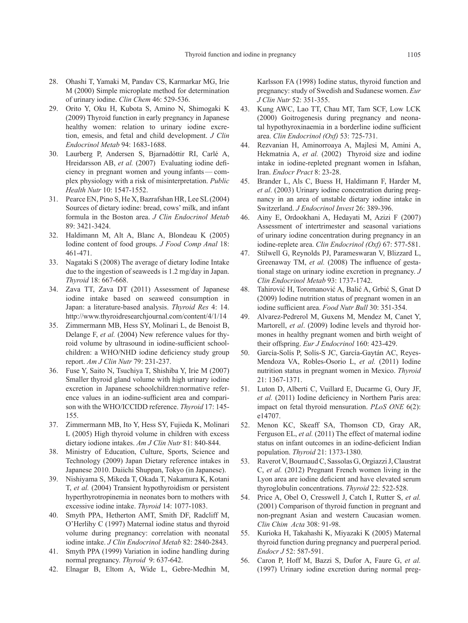- 28. Ohashi T, Yamaki M, Pandav CS, Karmarkar MG, Irie M (2000) Simple microplate method for determination of urinary iodine. *Clin Chem* 46: 529-536.
- 29. Orito Y, Oku H, Kubota S, Amino N, Shimogaki K (2009) Thyroid function in early pregnancy in Japanese healthy women: relation to urinary iodine excretion, emesis, and fetal and child development. *J Clin Endocrinol Metab* 94: 1683-1688.
- 30. Laurberg P, Andersen S, Bjarnadóttir RI, Carlé A, Hreidarsson AB, *et al.* (2007) Evaluating iodine deficiency in pregnant women and young infants — complex physiology with a risk of misinterpretation. *Public Health Nutr* 10: 1547-1552.
- 31. Pearce EN, Pino S, He X, Bazrafshan HR, Lee SL (2004) Sources of dietary iodine: bread, cows' milk, and infant formula in the Boston area. *J Clin Endocrinol Metab* 89: 3421-3424.
- 32. Haldimann M, Alt A, Blanc A, Blondeau K (2005) Iodine content of food groups. *J Food Comp Anal* 18: 461-471.
- 33. Nagataki S (2008) The average of dietary Iodine Intake due to the ingestion of seaweeds is 1.2 mg/day in Japan. *Thyroid* 18: 667-668.
- 34. Zava TT, Zava DT (2011) Assessment of Japanese iodine intake based on seaweed consumption in Japan: a literature-based analysis. *Thyroid Res* 4: 14. http://www.thyroidresearchjournal.com/content/4/1/14
- 35. Zimmermann MB, Hess SY, Molinari L, de Benoist B, Delange F, *et al.* (2004) New reference values for thyroid volume by ultrasound in iodine-sufficient schoolchildren: a WHO/NHD iodine deficiency study group report. *Am J Clin Nutr* 79: 231-237.
- 36. Fuse Y, Saito N, Tsuchiya T, Shishiba Y, Irie M (2007) Smaller thyroid gland volume with high urinary iodine excretion in Japanese schoolchildren:normative reference values in an iodine-sufficient area and comparison with the WHO/ICCIDD reference. *Thyroid* 17: 145- 155.
- 37. Zimmermann MB, Ito Y, Hess SY, Fujieda K, Molinari L (2005) High thyroid volume in children with excess dietary iodione intakes. *Am J Clin Nutr* 81: 840-844.
- 38. Ministry of Education, Culture, Sports, Science and Technology (2009) Japan Dietary reference intakes in Japanese 2010. Daiichi Shuppan, Tokyo (in Japanese).
- 39. Nishiyama S, Mikeda T, Okada T, Nakamura K, Kotani T, *et al.* (2004) Transient hypothyroidism or persistent hyperthyrotropinemia in neonates born to mothers with excessive iodine intake. *Thyroid* 14: 1077-1083.
- 40. Smyth PPA, Hetherton AMT, Smith DF, Radcliff M, O'Herlihy C (1997) Maternal iodine status and thyroid volume during pregnancy: correlation with neonatal iodine intake. *J Clin Endocrinol Metab* 82: 2840-2843.
- 41. Smyth PPA (1999) Variation in iodine handling during normal pregnancy. *Thyroid* 9: 637-642.
- 42. Elnagar B, Eltom A, Wide L, Gebre-Medhin M,

Karlsson FA (1998) Iodine status, thyroid function and pregnancy: study of Swedish and Sudanese women. *Eur J Clin Nutr* 52: 351-355.

- 43. Kung AWC, Lao TT, Chau MT, Tam SCF, Low LCK (2000) Goitrogenesis during pregnancy and neonatal hypothyroxinaemia in a borderline iodine sufficient area. *Clin Endocrinol (Oxf)* 53: 725-731.
- 44. Rezvanian H, Aminorroaya A, Majlesi M, Amini A, Hekmatnia A, *et al.* (2002) Thyroid size and iodine intake in iodine-repleted pregnant women in Isfahan, Iran. *Endocr Pract* 8: 23-28.
- 45. Brander L, Als C, Buess H, Haldimann F, Harder M, *et al*. (2003) Urinary iodine concentration during pregnancy in an area of unstable dietary iodine intake in Switzerland. *J Endocrinol Invest* 26: 389-396.
- 46. Ainy E, Ordookhani A, Hedayati M, Azizi F (2007) Assessment of intertrimester and seasonal variations of urinary iodine concentration during pregnancy in an iodine-replete area. *Clin Endocrinol (Oxf)* 67: 577-581.
- 47. Stilwell G, Reynolds PJ, Parameswaran V, Blizzard L, Greenaway TM, *et al.* (2008) The influence of gestational stage on urinary iodine excretion in pregnancy. *J Clin Endocrinol Metab* 93: 1737-1742.
- 48. Tahirović H, Toromanović A, Balić A, Grbić S, Gnat D (2009) Iodine nutrition status of pregnant women in an iodine sufficient area. *Food Nutr Bull* 30: 351-354.
- 49. Alvarez-Pedrerol M, Guxens M, Mendez M, Canet Y, Martorell, *et al*. (2009) Iodine levels and thyroid hormones in healthy pregnant women and birth weight of their offspring. *Eur J Endocrinol* 160: 423-429.
- 50. García-Solís P, Solís-S JC, García-Gaytán AC, Reyes-Mendoza VA, Robles-Osorio L, *et al.* (2011) Iodine nutrition status in pregnant women in Mexico. *Thyroid* 21: 1367-1371.
- 51. Luton D, Alberti C, Vuillard E, Ducarme G, Oury JF, *et al.* (2011) Iodine deficiency in Northern Paris area: impact on fetal thyroid mensuration. *PLoS ONE* 6(2): e14707.
- 52. Menon KC, Skeaff SA, Thomson CD, Gray AR, Ferguson EL, *et al.* (2011) The effect of maternal iodine status on infant outcomes in an iodine-deficient Indian population. *Thyroid* 21: 1373-1380.
- 53. Raverot V, Bournaud C, Sassolas G, Orgiazzi J, Claustrat C, *et al.* (2012) Pregnant French women living in the Lyon area are iodine deficient and have elevated serum thyroglobulin concentrations. *Thyroid* 22: 522-528.
- 54. Price A, Obel O, Cresswell J, Catch I, Rutter S, *et al.* (2001) Comparison of thyroid function in pregnant and non-pregnant Asian and western Caucasian women. *Clin Chim Acta* 308: 91-98.
- 55. Kurioka H, Takahashi K, Miyazaki K (2005) Maternal thyroid function during pregnancy and puerperal period. *Endocr J* 52: 587-591.
- 56. Caron P, Hoff M, Bazzi S, Dufor A, Faure G, *et al.* (1997) Urinary iodine excretion during normal preg-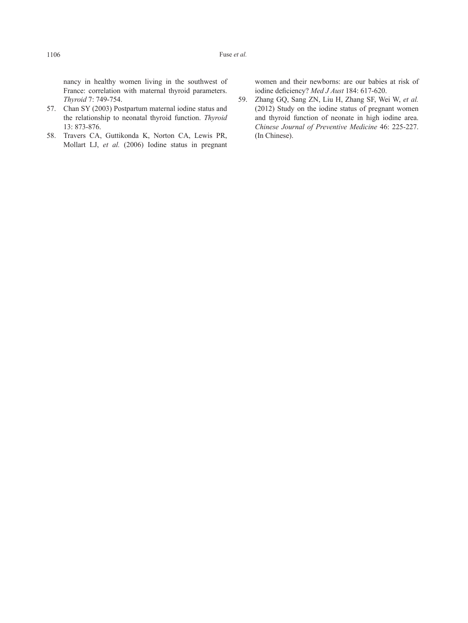nancy in healthy women living in the southwest of France: correlation with maternal thyroid parameters. *Thyroid* 7: 749-754.

- 57. Chan SY (2003) Postpartum maternal iodine status and the relationship to neonatal thyroid function. *Thyroid* 13: 873-876.
- 58. Travers CA, Guttikonda K, Norton CA, Lewis PR, Mollart LJ, *et al.* (2006) Iodine status in pregnant

women and their newborns: are our babies at risk of iodine deficiency? *Med J Aust* 184: 617-620.

59. Zhang GQ, Sang ZN, Liu H, Zhang SF, Wei W, *et al.* (2012) Study on the iodine status of pregnant women and thyroid function of neonate in high iodine area. *Chinese Journal of Preventive Medicine* 46: 225-227. (In Chinese).